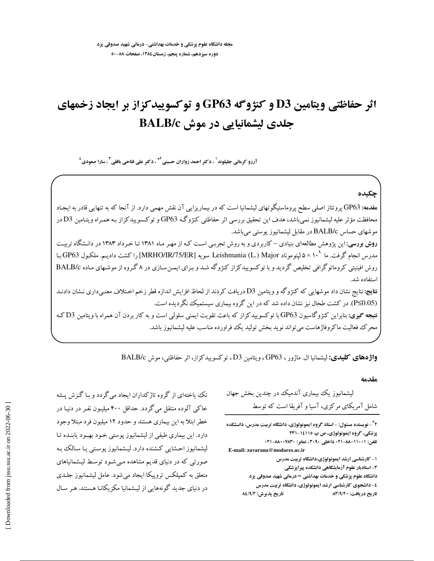# اثر حفاظتی ویتامین D3 و کنژوگه GP63 و توکسوییدکزاز بر ایجاد زخمهای جلدی لیشمانیایی در موش BALB/c

آرزو کرمانی جلیلوند<sup>1</sup> ، دکتر احمد زواران حسینی<sup>4</sup>" ، دکتر علی فتاحی بافقی<sup>۳</sup> ، سارا صعودی<sup>٤</sup>

حكىدە هقدمه: GP63 پروتئاز اصلی سطح پروماستیگوتهای لیشمانیا است که در بیماریزایی آن نقش مهمی دارد. از آنجا که به تنهایی قادر به ایجـاد محافظت مؤثر علیه لیشمانیوز نمیباشد، هدف این تحقیق بررسی اثر حفاظتی کنژوگـه GP63 و توکسوییدکزاز بـه همـراه ویتـامین D3 در موشهای حساس BALB/c در مقابل لیشمانیوز پوستی میباشد. روش بورسی: این پژوهش مطالعهای بنیادی – کاربردی و به روش تجربـی اسـت کـه از مهـر مـاه ۱۳۸۱ تـا خـرداد ۱۳۸۳ در دانـشگاه تربیـت مدرس انجام گرفت. ما ^د× ۵ ليتوموناد Leishmania (L.) Major سويه [MRHO/IR/75/ER] را كشت داديـم. ملكـول GP63 بـا روش افینیتی کروماتوگرافی تخلیص گردید و با توکسوییدکزاز کنژوگه شد و بـرای ایمـنسـازی در ۸گـروه از موشـهای مـاده BALB/c استفاده شد. **نتايج:** نتايج نشان داد موشهايي كه كنژوگه و ويتامين D3 دريافت كردند از لحاظ افزايش اندازه قطر زخم اخـتلاف معنـي داري نـشان دادنـد (P≤0.05). در کشت طحال نیز نشان داده شد که در این گروه بیماری سیستمیک نگردیده است. **نتیجه گیری:** بنابراین کنژوگاسیون GP63 با توکسوییدکزاز که باعث تقویت ایمنی سلولی است و به کار بردن آن همراه با ویتامین D3 کـه محرک فعالیت ماکروفاژهاست می تواند نوید بخش تولید یک فراورده مناسب علیه لیشمانیوز باشد.

واژههای کلیدی: لیشمانیا ال. ماژور ، GP63 ، ویتامین D3 ، توکسوییدکزاز، اثر حفاظتی، موش BALB/c

مقدمه

لیشمانیوز یک بیماری آندمیک در چندین بخش جهان شامل آمریکای مرکزی، آسیا و آفریقا است که توسط

**2 3- نویسنده مسئول: - استاد گروه ایمونولوژی، دانشگاه تربیت مدرس، دانـشکده** پزشکی، گروه ایمونولوژی، ص پ ۱۱۱۵-۳۳۱ تلفن: ۰۲۱-۸۸۰-۲۱- داخلي ۳۰۹۰، نمایو: ۸۸۰۰۷۸۳۰+۰۲۱ E-mail: zavarana@modares.ac.ir ۱- کارشناسی ارشد ایمونولوژی،دانشگاه تربیت مدرس ۳- استادیار علوم آزمایشگاهی دانشکده پیراپزشکی دانشگاه علوم پزشکی و خدمات بهداشتی - درمانی شهید صدوقی یزد ٤- دانشجوی کارشناسی ارشد ایمونولوژی، دانشگاه تربیت مدرس تاريخ يذيرش: ٨٤/٩/٣ تاریخ دریافت: ۸۳/۹/۲۰

تک پیاختهای از گروه تاژکداران ایجاد می گردد و بـا گـزش پـشه خاکی آلوده منتقل میگردد. حداقل ۴۰۰ میلیـون نفـر در دنیـا در خطر ابتلا به این بیماری هستند و حدود ۱۲ میلیون فرد مبتلا وجود دارد. این بیماری طیفی از لیشمانیوز پوستی خـود بهبـود یابنـده تـا لیشمانیوز احشایی کشنده دارد. لیـشمانیوز پوسـتی یـا سـالک بـه صورتی که در دنیای قدیم مشاهده مییشود توسط لیشمانیاهای متعلق به کمیلکس تروپیکا ایجاد میشود. عامل لیشمانیوز جلـدی در دنیای جدید گونههایی از لیشمانیا مکزیکانـا هـستند. هـر سـال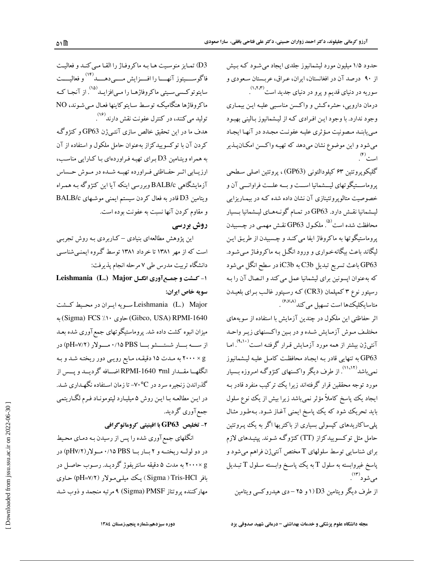حدود ۱/۵ میلیون مورد لیشمانیوز جلدی ایجاد میشود کـه بـیش از ۹۰ درصد آن در افغانستان، ایران، عراق، عربستان سعودی و سوریه در دنیای قدیم و پرو در دنیای جدید است<sup>(۱٬۲٬۳</sup>۰) .

درمان دارویی، حشره کـش و واکـسن مناسـبی علیـه ایـن بیمـاری وجود ندارد. با وجود ايـن افـرادي كـه از ليـشمانيوز بـاليني بهبـود مبي يابنـد مـصونيت مـؤثري عليـه عفونـت مجـدد در آنهـا ايجـاد مي شود و اين موضوع نشان مي دهد كه تهيـه واكـسن امكـان يــذير است``.

گليکوپروتئين ۶۳ کيلودالتوني (GP63)، پروتئين اصلي سطحي یروماســتبگوتهای لیــشمانیا اســت و بــه علــت فراوانــبي آن و خصوصیت متالو پروتئینازی آن نشان داده شده کـه در بیمـاریزایی لیـشمانیا نقـش دارد. GP63 در تمـام گونـههـاي لیـشمانیا بـسیار محافظت شده است<sup>(۵)</sup>. ملکـول GP63 نقـش مهمـی در چـسبیدن يروماستيگوتها به ماكروفاژ ايفا مي كنـد و چـسبيدن از طريـق ايـن لیگاند باعث بیگانهخواری و ورود انگــل بـه ماکروفـاژ مــیشـود. GP63 باعث تسریع تبدیل C3b به iC3b در سطح انگل میشود که به عنوان اپسونین برای لیشمانیا عمل می کند و اتـصال آن را بـه رسپتور نوع ۳ کمپلمان (CR3)که رسپتور غالب بـراي بلعيــدن متاسایکلیک۵ها است تسهیل می کند<sup>(۶٬۷۸</sup>).

اثر حفاظتی این ملکول در چندین آزمایش با استفاده از سویههای مختلـف مـوش آزمـايش شـده و در بـين واكـسنهاي زيـر واحـد آنتی ژن بیشتر از همه مورد آزمـایش قـرار گرفتـه اسـت<sup>(۹،۱۰</sup>). .<br>GP63 به تنهایی قادر بـه ایجـاد محافظـت کامـل علیـه لیـشمانیوز نمیباشد<sup>(۱۱،۱۲)</sup>. از طرف دیگر واکسنهای کنژوگه امروزه بسیار مورد توجه محققین قرار گرفتهاند زیرا یک ترکیب منفرد قادر بـه ایجاد یک پاسخ کاملاً مؤثر نمیباشد زیرا بیش از یک نوع سلول باید تحریک شود که یک پاسخ ایمنی آغـاز شـود. بـهطـور مثـال پلمی ساکاریدهای کپسولمی بسیاری از باکتریها اگر به یک پپروتئین حامل مثل توکسوییدکزاز (TT)کنژوگه شـوند. پیتیـدهای لازم برای شناسایی توسط سلولهای T مختص آنتیژن فراهم میشود و پاسخ غیروابسته به سلول T به یک پاسخ وابسته سـلول T تبـدیل میشود (۱۳).

از طرف دیگر ویتامین D3 (۱ و ۲۵ –دی هیدروکسی ویتامین

D3) تمایز منوسیت هـا بـه ماكروفـاژ را القـا مـى كنـد و فعاليـت فاگوســــيتوز آنهــــا را افــــزايش مــــىدهــــد<sup>(۱۴)</sup> و فعاليــــت سایتوتوکسیسیتی ماکروفاژهـا را مـی|فزایــد<sup>(۱۵)</sup>. از آنجـا کــه ماکروفاژها هنگامیکه توسط سایتوکاینها فعـال مـی شـوند، NO تولید میکنند، در کنترل عفونت نقش دارند<sup>(۱۶)</sup> .

هدف ما در این تحقیق خالص سازی آنتـی¢ن GP63 و کنژوگـه کردن آن با توکسوییدکزاز بهعنوان حامل ملکول و استفاده از آن به همراه ویتامین D3 برای تهیه فراوردهای با کارایی مناسب، ارزیبایی اثیر حفیاظتی فیراورده تهییه شیده در میوش حساس آزمایشگاهی BALB/c وبررسی اینکه آیا این کنژوگه بـه همـراه ويتامين D3 قادر به فعال كردن سيستم ايمني موشـهاي BALB/c و مقاوم كردن آنها نسبت به عفونت بوده است.

### روش بررسی

این پژوهش مطالعهای بنیادی – کـاربردی بـه روش تجربـی است که از مهر ۱۳۸۱ تا خرداد ۱۳۸۱ توسط گروه ایمنبی شناسبی دانشگاه تربیت مدرس طی ۷ مرحله انجام پذیرفت:

1- كشت و جمع آورى انكل Leishmania (L.) Major سويه خاص ايران:

Leishmania (L.) Major سويه ايبران در محيط كشت Gibco, USA) RPMI-1640) جاوى ١٠٪ Sigma) FCS به میزان انبوه کشت داده شد. پروماستیگوتهای جمع آوری شده بعـد از ســـه بـــار شستـــشو بـــا PBS ۱/۱۵ مـــولار (۷/۲=pH) در g × ۲۰۰۰ به مـدت ۱۵ دقیقـه، مـایع رویـی دور ریختـه شـد و بـه انگلهــا مقــدار RPMI-1640 ۳ml اضــافه گردیــد و یــس از گذراندن زنجیره سرد در V۰°C- تا زمان استفاده نگهداری شد. در ايــن مطالعــه بــا ايــن روش ۵ ميليــارد ليتومونــاد فــرم لگــاريتمـي جمع آوري گرديد.

**۲- تخلیص GP63 با افینیتی کروماتوگرافی** 

انگلهای جمع آوری شده را پس از رسیدن بـه دمـای محـیط در دو لوله ریخته و ٢ بار با PBS ١/١٥ مولار (٣/٢٧) در g ×۲۰۰۰ به مدت ۵ دقیقه سانتریفوژ گردیـد. رسـوب حاصـل در بافر Sigma ) Tris-HCl ) یک میلسی مولار (pH=۷/۲) حـاوی مهارکننده پروتئاز Sigma) PMSF) ۹ مرتبه منجمد و ذوب شد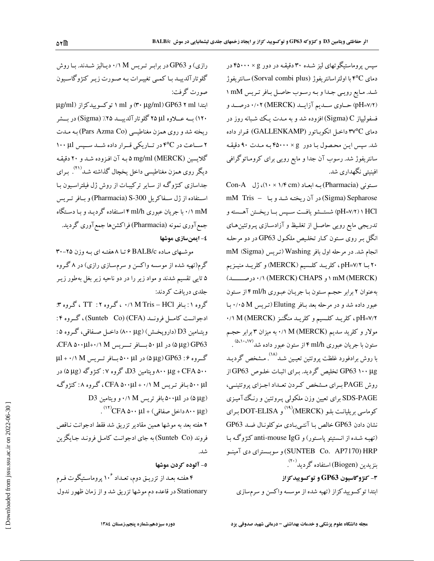سپس پروماستیگوتهای لیز شـده ۳۰ دقیقـه در دور ۶ × ۴۵۰۰۰ در دمای ۴°Cبا اولتراسانتریفوژ (Sorval combi plus) سانتریفوژ شد. مایع رویی جدا و به رسوب حاصل بافر تریس mM ١ (pH=Y/۲) حساوی سمدیم آزایـد (MERCK) ۰/۰۲ درصـد و فسفولیپاز Sigma) C) افزوده شد و به مـدت یـک شـبانه روز در دماي ٣٧°C داخـل انكوبـاتور (GALLENKAMP) قـرار داده شد. سپس این محصول با دور  $\times$  ۴۵۰۰۰ به مدت ۹۰ دقیقه سانتریفوژ شد. رسوب آن جدا و مایع رویی برای کرومـاتوگرافی افینیتی نگهداری شد.

ستونی (Pharmacia) به ابعاد (۱۶ × ۱۰)، ژل Con-A mM Tris - در آن ريخته شد وبا mM Tris - با pH=۷/۲)۱ HCl) شستــشو یافــت ســپس بــا ریخــتن آهــسته و تدریجی مایع رویی حاصـل از تغلـیظ و آزادسـازی پـروتئین&ـای انگل بر روی ستون کـار تخلـیص ملکـول GP63 در دو مرحلـه انجام شد. در مرحله اول بافر Washing (تـريس (Sigma) M ۲۰ بــا pH=۷/۲ ، كلريـــد كلــسيم (MERCK) وكلريــد منيــزيم (MERCK) ۱ و MERCK) CHAPS (و ۱۰/۱ (MERCK) ۰/۱ به عنوان ٢ برابر حجم ستون با جريان عبوري ml/h ١٤ از ستون عبور داده شد و در مرحله بعد بـافر Eluting(تـريس M ١٠٥٥M. بـا ۰/۱ M (MERCK) مکرید کلسیم و کلرید منگنز (MERCK) ۰/۱ مولار و کلرید سدیم (M(MERCK) ۰/۱ به میزان ۳ برابر حجم ستون با جریان عبوری ml/h ۴ از ستون عبور داده شد<sup>(۵،۱۰،۱۷</sup>) . با روش برادفورد غلظت یروتئین تعیـین شـد<sup>(۱۸)</sup>. مـشخص گردیـد GP63 ۱۰۰ μg تخلیص گردید. برای اثبات خلوص GP63 از روش PAGE بـراي مـشخص كـردن تعـداد اجـزاي پروتئينـي، SDS-PAGE برای تعیین وزن ملکولی پـروتئین و رنگ آمیـزی کوماسی بریلیانت بلـو (MERCK)<sup>(۱۹)</sup> و DOT-ELISA بـرای نشان دادن GP63 خالص بـا آنتـىبادى منوكلونـال ضـد GP63 (تھیـه شـده از انـستیتو پاسـتور) و anti-mouse IgG کنژوگـه بـا SUNTEB Co. AP7170) HRP) و سوبسستراي دي آمينو بنزيدين (Biogen) استفاده گرديد<sup>(۲۰)</sup>. **۳- کنژوگاسیون GP63 و توکسویید کزاز** ابتدا توكسوييدكزاز (تهيه شده از موسسه واكسن و سرمسازى

رازی) و GP63 در برابر تریس M ۰/۱ دیالیز شدند. با روش گلوتارآلدييـد بـا كمـي تغييـرات بـه صـورت زيـر كنژوگاسـيون صورت گرفت:

ابتدا (۳۰ ۳۰ GP63 ۳۰ (۳۰ ۳۰) و ml ۱ توکسوییدکزاز (µg/ml ۱۲۰) بــه عــــلاوه لمال ۲۵ گلوتار آلدییـــد ۲۵٪ (Sigma) در بـــشر ریخته شد و روی همزن مغناطیسی (Pars Azma Co) بـه مـدت ۲ ساعت در ۴°C در تاریکی قرار داده شـد سـیس ۱۰۰ ۱۰۰ گلايسين mg/ml (MERCK) ۵ بـه آن افـزوده شـد و ۲۰ دقيقـه دیگر روی همزن مغناطیسی داخل یخچال گذاشته شـد<sup>(۲۱)</sup> بـرای جداسازی کنژوگه از سایر ترکیبات از روش ژل فیلتراسیون بـا استفاده از ژل سهفاکریل Pharmacia) S-300) و بافر تریس mM ۰/۱ mM با جریان عبوری ۴ml/h استفاده گردیـد و بـا دسـتگاه جمع آوری نمونه (Pharmacia) فراکشنها جمع آوری گردید. ٤- ايمنسازي موشها

موشهای ماده BALB/c ۶ تا ۸ هفته ای به وزن ۲۵-۳۰ گرم(تهیه شده از موسسه واکسن و سرمسـازی رازی) در ۸ گـروه ۵ تایی تقسیم شدند و مواد زیر را در دو ناحیه زیر بغل بهطور زیـر جلدي دريافت كردند:

گروه ۱: بیافر M Tris – HCl ۰/۱ ، گروه ۲: TT ، گروه ۳: ادجوانست كامسل فرونسد (Sunteb Co) (CFA)، گروه ۴: ويتـامين D3 (دارويخـش) (٨٠٠ ٨٠٠) داخـل صـفاقي، گـروه ۵: 4 (αμg) GP63 در α۰ μl+۰/۱ M بسافر تسريس CFA ۵۰۰μl+۰/۱ M. گروه ۶: 6P63 (αμg) در α٠٠ μl بافر تریس μl + ٠/١ M ۸۰۰ μg + CFA و یتامین D3، گروه ۷: کنژوگه (μg) در ۵۰۰ µl بافر تریس CFA ۵۰۰µl + ۰/۱ M، گروه ۸: کنژوگه D3 در ۵۰۰μl نو تریس M ۰/۱ و ویتامین O3 

۲ هفته بعد به موشها همین مقادیر تزریق شد فقط ادجوانت نـاقص فروند (Sunteb Co) به جای ادجوانت کامل فرونـد جـایگزین شد.

٥- آلوده كردن موشها

۴ هفتـه بعـد از تزریـق دوم، تعـداد ۱۰<sup>۶</sup> پروماسـتیگوت فـرم Stationary در قاعده دم موشها تزریق شد و از زمان ظهور ندول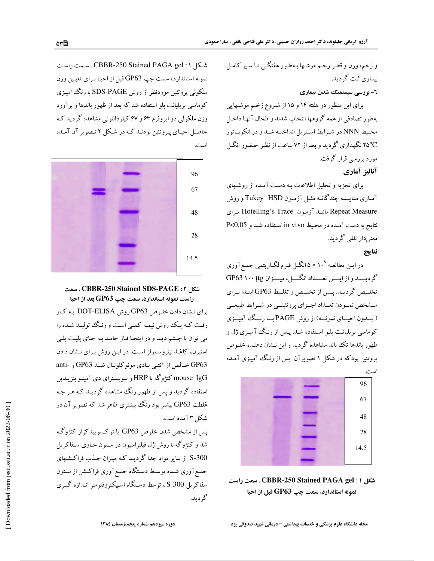و زخم، وزن و قطر زخم موشـها بـهطـور هفتگــی تـا سـير كامـل بیماری ثبت گردید.

#### **٦- بررسی سیستمیک شدن بیماری**

برای این منظور در هفته ۱۴ و ۱۵ از شـروع زخـم موشـهایی بهطور تصادفي از همه گروهها انتخاب شدند و طحال آنهـا داخـل محيط NNN در شـرايط اسـتريل انداختـه شـد و در انكوبـاتور ۲۵°C نگهداری گردید و بعد از ۷۲ ساعت از نظر حـضور انگـل مورد بررسی قرار گرفت.

#### آناليز آماري

برای تجزیه و تحلیل اطلاعات بـه دست آمـده از روشـهای آمـاری مقایـسه چندگانـه مثـل آزمـون Tukey HSDو روش Repeat Measure مانند آزمون Hotelling's Trace براى نتايج به دست آمده در محيط in vivo استفاده شد و P<0.05 معنی دار تلقی گر دید.

#### نتايج

در ایـن مطالعـه °۱۰ × ۵ انگــل فـرم لگــاریتمي جمـع آوري گرديسد و از ايسن تعسداد انگسل، ميسزان GP63 ۱۰۰ Rg تخليص گرديـد. يـس از تخلـيص و تغلـيظ GP63 ابتـدا بـراي مـشخص نمـودن تعـداد اجـزاي پروتئينــي در شـرايط طبيعــي (بسدون احیسای نمونسه) از روش PAGE بسا رنسگ آمیسزی کوماسی بریلیانت بلـو اسـتفاده شـد. پـس از رنـگ آمیـزی ژل و .<br>ظهور باندها تک باند مشاهده گردید و این نـشان دهنـده خلـوص پروتئین بودکه در شکل ۱ تصویرآن پس از رنگ آمیزی آمـده



شكل 1 : CBBR-250 Stained PAGA gel . سمت راست نمونه استاندارد، سمت چپ GP63 قبل از احیا

شكل CBBR-250 Stained PAGA gel : ۱ . سـمت راسـت نمونه استاندارد، سمت چپ GP63 قبل از احیـا بـرای تعیـین وزن ملکولی پروتئین موردنظر از روش SDS-PAGE با رنگ آمیزی کوماسی بریلیانت بلو استفاده شد که بعد از ظهور باندها و برآورد وزن ملکولی دو ایزوفرم ۶۳ و ۶۷ کیلودالتونی مشاهده گردید ک حاصل احیای پـروتئین بودنـد کـه در شـکل ۲ تـصویر آن آمـده است.



## شكل CBBR-250 Stained SDS-PAGE : ۲. سمت

راست نمونه استاندارد، سمت چپ GP63 بعد از احیا برای نشان دادن خلوص GP63 روش DOT-ELISA به کار رفت کـه يـک روش نيمـه کمـي اسـت و رنـگ توليـد شـده را می توان با چشم دیـد و در اینجـا فـاز جامـد بـه جـای پلیـت پلـی استیرن، کاغذ نیتروسلولز است. در این روش برای نشان دادن GP63 خالص از آنتبی بادی مونوکلونال ضد GP63 و -anti mouse IgG کنژوگه با HRP و سوبسترای دی آمینـو بنزیــدین استفاده گردید و پس از ظهور رنگ مشاهده گردیـد کـه هـر چـه غلظت GP63 بیشتر بود رنگ بیشتری ظاهر شد که تصویر آن در شكل ٢ آمده است.

پس از مشخص شدن خلوص GP63 با توکسوییدکزاز کنژوگ شد و کنژوگه با روش ژل فیلتراسیون در سـتون حـاوی سـفاکریل S-300 از سایر مواد جدا گردیـد کـه میـزان جـذب فراکـشنهای جمع آوري شـده توسـط دسـتگاه جمـع آوري فراكـشن از سـتون سفاکریل S-300 ، توسط دستگاه اسیکتروفتومتر انـدازه گیـری گړ د بد.

ا≅۳۵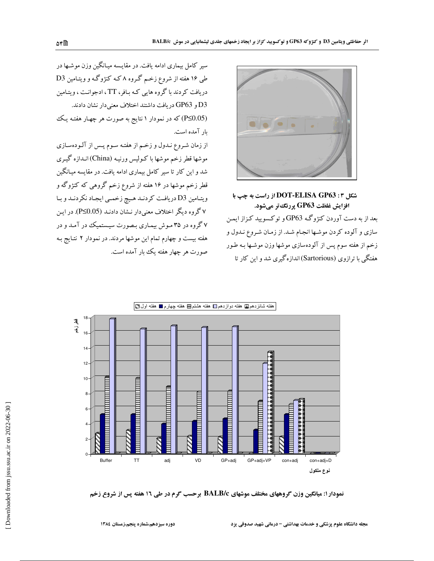

شكا , DOT-ELISA GP63 : ۳ از راست به چپ با افزایش غلظت GP63 پررنگ تر میشود. بعد از به دست آوردن کنژوگـه GP63 و توکسویید کـزاز ایمـن سازی و آلوده کردن موشـها انجـام شـد. از زمـان شـروع نـدول و زخم از هفته سوم پس از آلودهسازی موشها وزن موشـها بـه طـور هفتگی با ترازوی (Sartorious) اندازه گیری شد و این کار تا

سیر کامل بیماری ادامه یافت. در مقایسه میـانگین وزن موشـها در طی ۱۶ هفته از شروع زخم گروه ۸ که کنژوگه و ویتـامین D3 دریافت کردند با گروه هایی که بـافر، TT، ادجوانـت ، ویتـامین D3 و GP63 دريافت داشتند اختلاف معنىدار نشان دادند. (P≤0.05) که در نمودار ۱ نتایج به صورت هر چهـار هفتـه یـک بار آمده است.

از زمان شـروع نـدول و زخـم از هفتـه سـوم پـس از آلـودهسـازی موشها قطر زخم موشها با كـوليس ورنيـه (China) انـدازه گيـرى شد و این کار تا سیر کامل بیماری ادامه یافت. در مقایسه میـانگین قطر زخم موشها در ۱۶ هفته از شروع زخم گروهی که کنژوگه و ويتـامين D3 دريافـت كردنـد هـيچ زخمـي ايجـاد نكردنـد و بـا ۷ گروه دیگر اختلاف معنیدار نـشان دادنـد (P≤0.05). در ایـن ۷ گروه در ۳۵ موش بیمـاری بـصورت سیـستمیک در آمـد و در هفته بیست و چهارم تمام این موشها مردند. در نمودار ۲ نتـایج بـه صورت هر چهار هفته یک بار آمده است.



نمودار ۱: میانگین وزن گروههای مختلف موشهای BALB/c برحسب گرم در طی ۱۲ هفته پس از شروع زخم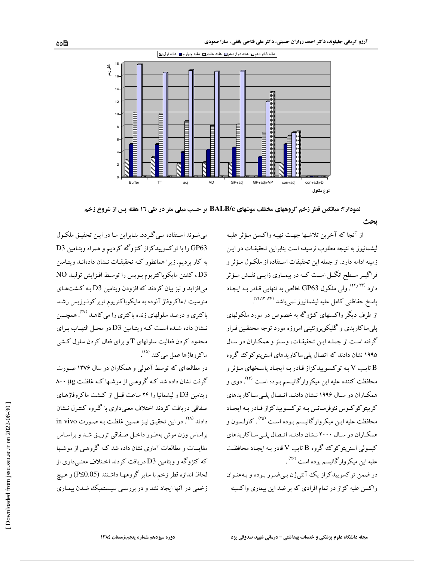

نمودار۲: میانگین قطر زخم گروههای مختلف موشهای BALB/c بر حسب میلی متر در طی ۱۲ هفته پس از شروع زخم

ىحث

از آنجا که آخرین تلاشـها جهـت تهیـه واکـسن مـؤثر علیـه لیشمانیوز به نتیجه مطلوب نرسیده است بنابراین تحقیقـات در ایـن زمينه ادامه دارد. از جمله اين تحقيقات اسـتفاده از ملكـول مـؤثر و فراگیـر سـطح انگــل اسـت کــه در بیمــاري زايــي نقــش مــؤثر دارد <sup>(۲۲٫</sup> ۲۳). ولی ملکول GP63 خالص به تنهایی قـادر بـه ایجـاد پاسخ حفاظتى كامل عليه ليشمانيوز نمىباشد (١٢،١٣،١٣).

از طرف دیگر واکسنهای کنژوگه به خصوص در مورد ملکولهای پلمی ساکاریدی و گلیکوپروتئینی امروزه مورد توجه محققـین قـرار گرفته است از جملـه ايـن تحقيقـات، وسـلز و همكـاران در سـال ۱۹۹۵ نشان دادند که اتصال پلی ساکاریدهای استریتوکوک گروه تايپ V بـه توكـسوييدكزاز قـادر بـه ايجـاد پاسـخهاي مـؤثر و  $\rm{V}$ محافظت کننده علیه این میکروارگانیـسم بـوده اسـت <sup>(۲۴)</sup>. دوی و همکاران در سـال ۱۹۹۶ نـشان دادنـد اتـصال پلـیسـاکاریدهای کریپتوکوکوس نئوفرمانس بـه توکسوییدکزاز قـادر بـه ایجـاد محافظت علیه ایـن میکروارگانیـسم بـوده اسـت <sup>(۲۵)</sup> . کارلـسون و همکاران در سال ۲۰۰۰ نـشان دادنـد اتـصال پلـیسـاکاریدهای کیسولی استریتوکوک گروه B تایپ V قادر بـه ایجـاد محافظـت عليه اين ميكروارگانيسم بوده است <sup>(۲۶)</sup>.

در ضمن توکسوییدکزاز یک آنتیژن بی ضرر بوده و بـهعنـوان واکسن علیه کزاز در تمام افرادی که بر ضد این بیماری واکسبنه

می شوند استفاده می گردد. بنابراین ما در این تحقیق ملکول OP63 را با توکسوییدکزاز کنژوگه کردیم و همراه ویتامین D3 به کار بردیم. زیرا همانطور کـه تحقیقـات نـشان دادهانـد ویتـامین .<br>D3 ، كشتن مايكوباكتريوم بـويس را توسـط افـزايش توليـد NO می افزاید و نیز بیان کردند که افزودن ویتامین D3 بـه کشتهای منوسیت / ماکروفاژ آلوده به مایکوباکتریوم توبرکولـوزیس رشـد باکتری و درصد سلولهای زنده باکتری را میکاهـد <sup>(۲۷)</sup>. همچنـین نشان داده شده است كه ويتـامين D3 در محـل التهـاب بـراي محدود کردن فعالیت سلولهای T و برای فعال کردن سلول کشی ماكروفاژها عمل مي كند <sup>(۱۵)</sup>.

در مطالعهای که توسط آغولی و همکاران در سال ۱۳۷۶ صورت گرفت نشان داده شد که گروهی از موشها که غلظت ۸۰۰ µg ویتامین D3 و لیشمانیا را ۲۴ ساعت قبـل از کـشت ماکروفاژهـای صفاقی دریافت کردند اختلاف معنیداری با گـروه کنتـرل نـشان دادند <sup>(۲۸</sup>). در این تحقیـق نیـز همـین غلظـت بـه صـورت in vivo براساس وزن موش بهطور داخل صفاقي تزريـق شـد و براسـاس مقایسات و مطالعات آماری نشان داده شد کـه گروهـی از موشـها که کنژوگه و ویتامین D3 دریافت کردند اخـتلاف معنــی داری از لحاظ اندازه قطر زخم با ساير گروههـا داشـتند (P≤0.05) و هـيچ زخمی در آنها ایجاد نشد و در بررسبی سیستمیک شدن بیمـاری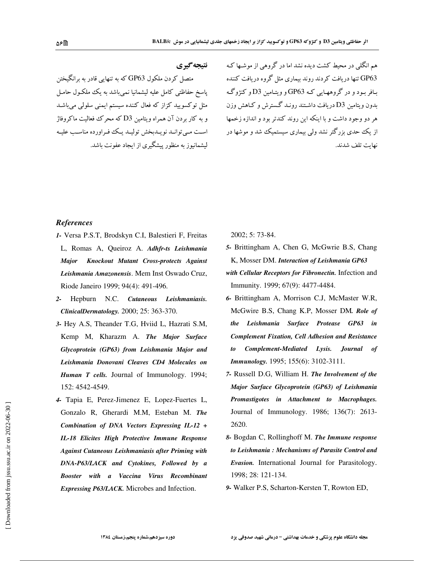نتيجه گيري

هم انگلبی در محیط کشت دیده نشد اما در گروهبی از موشـها کـه GP63 تنها دریافت کردند روند بیماری مثل گروه دریافت کننده بـافر بـود و در گروههـايي کـه GP63 و ويتـامين D3 و کنژوگـه بدون ویتامین D3 دریافت داشـتند رونـد گـسترش و کـاهش وزن هر دو وجود داشت و با اینکه این روند کندتر بود و اندازه زخمها از یک حدی بزرگتر نشد ولی بیماری سیستمیک شد و موشها در نهايت تلف شدند.

## **References**

1- Versa P.S.T, Brodskyn C.I, Balestieri F, Freitas L, Romas A, Queiroz A. Adhfr-ts Leishmania Knockout Mutant Cross-protects Against **Major** Leishmania Amazonensis. Mem Inst Oswado Cruz, Riode Janeiro 1999; 94(4): 491-496.

متصل کردن ملکول GP63 که به تنهایی قادر به برانگیختن

پاسخ حفاظتی کامل علیه لیشمانیا نمیباشد به یک ملکـول حامـل

مثل توکسویید کزاز که فعال کننده سیستم ایمنی سلولی میباشد

و به کار بردن آن همراه ویتامین D3 که محرک فعالیت ماکروفاژ

است مبے توانید نو پیدیخش تولیید پیک فیراوردہ مناسب علییه

لبشمانبوز به منظور پیشگیری از ایجاد عفونت باشد.

- 2- Hepburn N.C. Cutaneous Leishmaniasis. ClinicalDermatology. 2000; 25: 363-370.
- 3- Hey A.S, Theander T.G, Hviid L, Hazrati S.M, Kemp M, Kharazm A. The Major Surface Glycoprotein (GP63) from Leishmania Major and Leishmania Donovani Cleaves CD4 Molecules on Human T cells. Journal of Immunology. 1994; 152: 4542-4549.
- 4- Tapia E, Perez-Jimenez E, Lopez-Fuertes L, Gonzalo R, Gherardi M.M, Esteban M. The Combination of DNA Vectors Expressing IL-12 + IL-18 Elicites High Protective Immune Response **Against Cutaneous Leishmaniasis after Priming with** DNA-P63/LACK and Cytokines, Followed by a Booster with a Vaccina Virus Recombinant Expressing P63/LACK. Microbes and Infection.

2002; 5: 73-84.

- 5- Brittingham A, Chen G, McGwrie B.S, Chang K, Mosser DM. Interaction of Leishmania GP63
- with Cellular Receptors for Fibronectin. Infection and Immunity. 1999; 67(9): 4477-4484.
- 6- Brittingham A, Morrison C.J, McMaster W.R, McGwire B.S, Chang K.P, Mosser DM. Role of the Leishmania Surface Protease GP63 in **Complement Fixation, Cell Adhesion and Resistance** Complement-Mediated Lysis. Journal of  $\mathbf{t}$ Immunology. 1995; 155(6): 3102-3111.
- 7- Russell D.G, William H. The Involvement of the Major Surface Glycoprotein (GP63) of Leishmania Promastigotes in Attachment to Macrophages. Journal of Immunology. 1986; 136(7): 2613-2620.
- 8- Bogdan C, Rollinghoff M. The Immune response to Leishmania: Mechanisms of Parasite Control and Evasion. International Journal for Parasitology. 1998; 28: 121-134.
- 9- Walker P.S, Scharton-Kersten T, Rowton ED,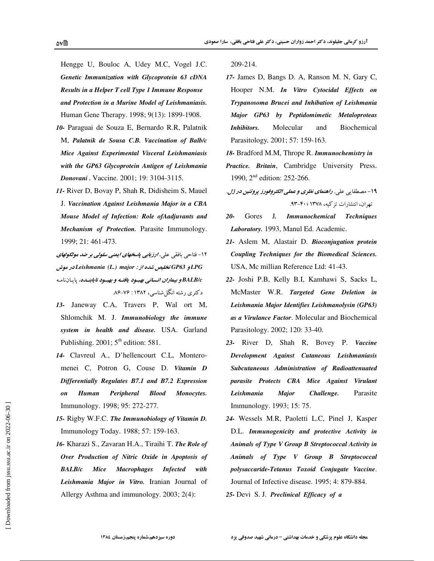Hengge U, Bouloc A, Udey M.C, Vogel J.C. Genetic Immunization with Glycoprotein 63 cDNA Results in a Helper T cell Type 1 Immune Response and Protection in a Murine Model of Leishmaniasis. Human Gene Therapy. 1998; 9(13): 1899-1908.

- 10- Paraguai de Souza E, Bernardo R.R, Palatnik M, Palatnik de Sousa C.B. Vaccination of Balb/c Mice Against Experimental Visceral Leishmaniasis with the GP63 Glycoprotein Antigen of Leishmania Donovani. Vaccine. 2001; 19: 3104-3115.
- 11- River D, Bovay P, Shah R, Didisheim S, Mauel J. Vaccination Against Leishmania Major in a CBA Mouse Model of Infection: Role of Aadjuvants and Mechanism of Protection. Parasite Immunology. 1999; 21: 461-473.
- ۱۲- فتاحی بافقی علی. *ارزیابی پاسخهای ا*یمن*ی سلولی بر ضد مولکولهای* LPGو GP63 تخلیص شده از : Leishmania (L.) major در موش BALB/c و بيم*اران انساني بهبود يافتـه و بهبـود نايابنـده،* پايـاننامـه دکتری رشته انگل شناسی، ۱۳۸۲: ۷۶–۸۶.
- 13- Janeway C.A, Travers P, Wal ort M, Shlomchik M. J. Immunobiology the immune system in health and disease. USA. Garland Publishing. 2001;  $5<sup>th</sup>$  edition: 581.
- 14- Clavreul A., D'hellencourt C.L, Monteromenei C, Potron G, Couse D. Vitamin D Differentially Regulates B7.1 and B7.2 Expression **Human** Peripheral **Blood** Monocytes.  $\overline{on}$ Immunology. 1998; 95: 272-277.
- 15- Rigby W.F.C. The Immunobiology of Vitamin D. Immunology Today. 1988; 57: 159-163.
- 16- Kharazi S., Zavaran H.A., Tiraihi T. The Role of Over Production of Nitric Oxide in Apoptosis of **BALB/c** Mice **Macrophages Infected** with Leishmania Major in Vitro. Iranian Journal of Allergy Asthma and immunology. 2003; 2(4):

209-214.

- 17- James D, Bangs D. A, Ranson M. N, Gary C, Hooper N.M. In Vitro Cytocidal Effects on Trypanosoma Brucei and Inhibation of Leishmania Major GP63 by Peptidomimetic Metaloproteas Inhibitors. Molecular and Biochemical Parasitology. 2001; 57: 159-163.
- 18- Bradford M.M. Thrope R. Immunochemistry in
- Practice. Britain, Cambridge University Press. 1990, 2<sup>nd</sup> edition: 252-266.
- ۱۹- مصطفایی علی. ر*اهنمای نظری و عملی الکتروفورز پروتئین در ژل*. تهران، انتشارات تزكيه، ١٣٧٨ :۴٠٠-٩٣.
- $20 J_{\cdot}$ Gores Immunochemical Techniques Laboratory. 1993, Manul Ed. Academic.
- 21- Aslem M, Alastair D. Bioconjugation protein Coupling Techniques for the Biomedical Sciences. USA, Mc millian Reference Ltd: 41-43.
- 22- Joshi P.B, Kelly B.I, Kamhawi S, Sacks L, McMaster W.R. Targeted Gene Deletion in Leishmania Major Identifies Leishmanolysin (GP63) as a Virulance Factor. Molecular and Biochemical Parasitology. 2002; 120: 33-40.
- 23- River D, Shah R, Bovey P. Vaccine Development Against Cutaneous Leishmaniasis Subcutaneous Administration of Radioattenuated parasite Protects CBA Mice Against Virulant **Major** Leishmania Challenge. Parasite Immunology. 1993; 15: 75.
- 24- Wessels M.R. Paoletti L.C. Pinel J. Kasper D.L. Immunogenicity and protective Activity in Animals of Type V Group B Streptococcal Activity in Animals of Type V Group B Streptococcal polysaccaride-Tetanus Toxoid Conjugate Vaccine. Journal of Infective disease. 1995; 4: 879-884. 25- Devi S. J. Preclinical Efficacy of a